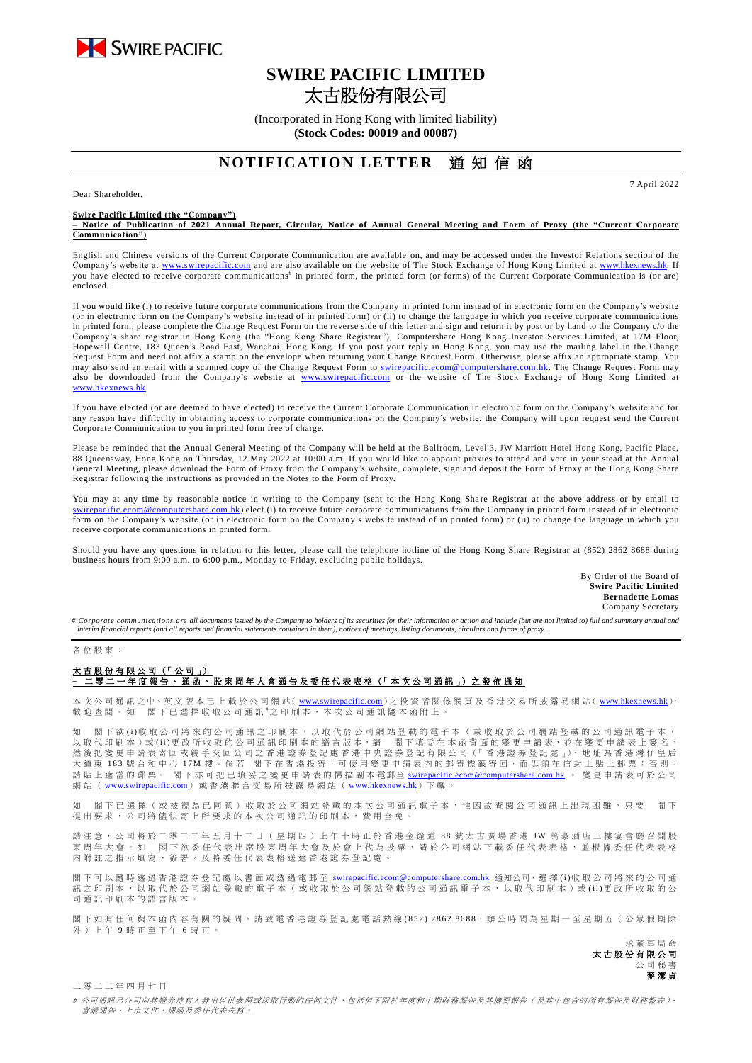

# **SWIRE PACIFIC LIMITED** 太古股份有限公司

(Incorporated in Hong Kong with limited liability) **(Stock Codes: 00019 and 00087)**

## **NOTIFICATION LETTER** 诵 知 信 函

Dear Shareholder,

**Swire Pacific Limited (the "Company")**

**– Notice of Publication of 2021 Annual Report, Circular, Notice of Annual General Meeting and Form of Proxy (the "Current Corporate Communication")**

English and Chinese versions of the Current Corporate Communication are available on, and may be accessed under the Investor Relations section of the Company's website at [www.swirepacific.com](http://www.swirepacific.com/) and are also available on the website of The Stock Exchange of Hong Kong Limited at [www.hkexnews.hk.](http://www.hkexnews.hk/) If you have elected to receive corporate communications<sup>#</sup> in printed form, the printed form (or forms) of the Current Corporate Communication is (or are) enclosed.

If you would like (i) to receive future corporate communications from the Company in printed form instead of in electronic form on the Company's website (or in electronic form on the Company's website instead of in printed form) or (ii) to change the language in which you receive corporate communications in printed form, please complete the Change Request Form on the reverse side of this letter and sign and return it by post or by hand to the Company c/o the Company's share registrar in Hong Kong (the "Hong Kong Share Registrar"), Computershare Hong Kong Investor Services Limited, at 17M Floor, Hopewell Centre, 183 Queen's Road East, Wanchai, Hong Kong. If you post your reply in Hong Kong, you may use the mailing label in the Change Request Form and need not affix a stamp on the envelope when returning your Change Request Form. Otherwise, please affix an appropriate stamp. You may also send an email with a scanned copy of the Change Request Form to *swirepacific.ecom@computershare.com.hk*. The Change Request Form may also be downloaded from the Company's website at [www.swirepacific.com](http://www.swirepacific.com/) or the website of The Stock Exchange of Hong Kong Limited at [www.hkexnews.hk.](http://www.hkexnews.hk/)

If you have elected (or are deemed to have elected) to receive the Current Corporate Communication in electronic form on the Company's website and for any reason have difficulty in obtaining access to corporate communications on the Company's website, the Company will upon request send the Current Corporate Communication to you in printed form free of charge.

Please be reminded that the Annual General Meeting of the Company will be held at the Ballroom, Level 3, JW Marriott Hotel Hong Kong, Pacific Place, 88 Queensway, Hong Kong on Thursday, 12 May 2022 at 10:00 a.m. If you would like to appoint proxies to attend and vote in your stead at the Annual General Meeting, please download the Form of Proxy from the Company's website, complete, sign and deposit the Form of Proxy at the Hong Kong Share Registrar following the instructions as provided in the Notes to the Form of Proxy.

You may at any time by reasonable notice in writing to the Company (sent to the Hong Kong Share Registrar at the above address or by email to tershare.com.hk) elect (i) to receive future corporate communications from the Company in printed form instead of in electronic form on the Company's website (or in electronic form on the Company's website instead of in printed form) or (ii) to change the language in which you receive corporate communications in printed form.

Should you have any questions in relation to this letter, please call the telephone hotline of the Hong Kong Share Registrar at (852) 2862 8688 during business hours from 9:00 a.m. to 6:00 p.m., Monday to Friday, excluding public holidays.

> By Order of the Board of **Swire Pacific Limited Bernadette Lomas** Company Secretary

7 April 2022

# Corporate communications are all documents issued by the Company to holders of its securities for their information or action and include (but are not limited to) full and summary annual and *interim financial reports (and all reports and financial statements contained in them), notices of meetings, listing documents, circulars and forms of proxy.*

#### 久 位 四 亩 :

### 太古股份有限公司 (「公司」) **–** 二 零 二 一 年度報 告、通函 、 股 東 周 年 大 會 通 告 及 委 任 代 表 表 格 (「 本 次 公 司 通 訊 」) 之 發 佈 通 知

本 次 公 司 通 訊 之中、英 文 版 本 已 上 載 於 公 司 網 站( [www.swirepacific.com](http://www.swirepacific.com/)) 之 投 資 者 關 係 網 頁 及 香 港 交 易 所 披 露 易 網 站( [www.hkexnews.hk](http://www.hkexnews.hk/)), 歡 迎 查 閱 。 如 閣 下 已 選 擇 收 取 公 司 通 訊 # 之 印 刷 本 , 本 次 公 司 通 訊 隨 本 函 附 上

如 閣下欲 (i)收 取 公 司將 來 的 公 司 通 訊 之 印 刷 本 , 以 取 代 於 公 司 網 站 登 載 的 電 子 本 ( 或 收 取 於 公 司 網 站 登 載 的 公 司 通 訊 電 子 本 , 以取代 印刷本 )或 ( i i ) 更 改 所 收 取 的 公 司 通 訊 印刷本的 語 言 版 本, 請 閣 下 填 妥 在 本 函 背 面 的 變 更 申 請 表, 並 在 變 更 申 請 表 上 簽 名 , 然 後 把 變 更 申 請 表 寄 回 或親手交回 公 司 之 香 港證券登 記 處 香 港 中 央 證 券 登 記 有 限 公 司 (「 香 港 證 券 登 記 處 」), 地 址 為 香 港 灣 仔 皇 后 大 道 東 183 號 合 和 中 心 17M 樓。 倘 若 閣 下 在 香 港 投 寄 , 可 使 用 變 更 申 請 表 内 的 郵 寄 標 籤 寄 回 , 而 毋 須 在 信 封 上 貼 上 郵 票 ; 否 則 , 請 貼 上 適 當 的郵票。 閣下亦可把已填妥之變更申請表的掃描副本 電郵至 [swirepacific.ecom@computershare.com.hk](mailto:swirepacific.ecom@computershare.com.hk) 。 變 更 申請表可於 公 司 網站 ( [www.swirepacific.com](http://www.swirepacific.com/)) 或香港聯合交易所披露易網站 ( [www.hkexnews.hk](http://www.hkexnews.hk/)) 下載。

如 閣 下 已 選 擇 ( 或 被 視 為 已 同 音 ) 收 取 於 公 司 網 站 登 載 的 本 次 公 司 诵 訊 雷 子 本 , 惟 因 劫 杏 関 公 司 诵 訊 上 出 現 因 難 , 只 要 一 閣 下 提 出 要 求 , 公司將儘 快寄上所要求的 本 次 公 司 通 訊 的 印 刷 本 , 費 用 全 免 。

請注意, 公 司 將 於 二 零 二 二 年 五 月 十 二 日 ( 星 期 四 ) 上 午 十 時 正 於 香 港 金 鐘 道 88 號 太 古 廣 場 香 港 J W 萬 豪 酒 店 三 樓 宴 會 廳 召 開 股 東 周 年 大 會 。 如 閣 下 欲 委 任 代 表 出 席 股 東 周 年 大 會 及 於 會 上 代 為 投 票 , 請 於 公 司 網 站 下 載 委 任 代 表 表 格 , 並 根 據 委 任 代 表 表 格 **內附註之指示填寫、簽署,及將委任代表表格送達香港證券登記處** 

閣下可以 隨時 透 過 香 港 證 券 登 記 處 以 書 面 或 透 過 電 郵 至 [swirepacific.ecom@computershare.com.hk](mailto:swirepacific.ecom@computershare.com.hk) 通知公司, 選 擇 (i)收 取 公 司 將 來 的 公 司 通 訊之印刷本,以取代於公司網站登載的電子本(或收取於公司網站登載的公司通訊電子本,以取代印刷本)或(ii)更改所收取的公 司 通 訊 印 刷 本 的 語 言 版 本 。

閣下如有任何與本函內容有關的疑問,請致電香港證券登記處電話熱線(852) 2862 8688,辦公時間為星期一至星期五(公眾假期除 外 ) 上 午 9 時 正 至 下 午 6 時正。

> 承董事 局 命 太古股份有限公司 公 司 秘 書 麥潔貞

二 零 二 二 年 四 月 七 日

# 公司通訊乃公司向其證券持有人發出以供參照或採取行動的任何文件,包括但不限於年度和中期財務報告及其摘要報告(及其中包含的所有報告及財務報表)、 會議通告、上市文件、通函及委任代表表格。